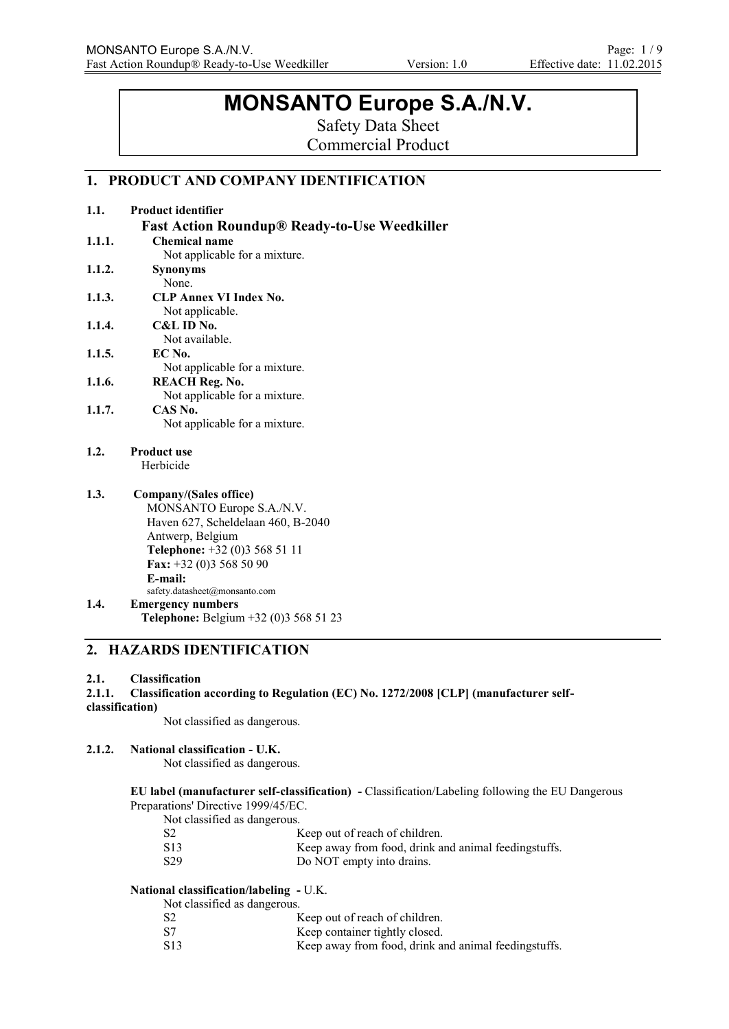# **MONSANTO Europe S.A./N.V.**

Safety Data Sheet

Commercial Product

# **1. PRODUCT AND COMPANY IDENTIFICATION**

| 1.1.   | <b>Product identifier</b>                           |
|--------|-----------------------------------------------------|
|        | <b>Fast Action Roundup® Ready-to-Use Weedkiller</b> |
| 1.1.1. | Chemical name                                       |
|        | Not applicable for a mixture.                       |
| 1.1.2. | <b>Synonyms</b>                                     |
|        | None.                                               |
| 1.1.3. | <b>CLP Annex VI Index No.</b>                       |
|        | Not applicable.                                     |
| 1.1.4. | C&L ID No.                                          |
|        | Not available.                                      |
| 1.1.5. | EC No.                                              |
|        | Not applicable for a mixture.                       |
| 1.1.6. | <b>REACH Reg. No.</b>                               |
|        | Not applicable for a mixture.                       |
| 1.1.7. | CAS No.                                             |
|        | Not applicable for a mixture.                       |
| 1.2.   | <b>Product use</b>                                  |
|        | Herbicide                                           |
| 1.3.   | Company/(Sales office)                              |
|        | MONSANTO Europe S.A./N.V.                           |
|        | Haven 627, Scheldelaan 460, B-2040                  |
|        | Antwerp, Belgium                                    |
|        | Telephone: +32 (0)3 568 51 11                       |
|        | Fax: $+32$ (0)3 568 50 90                           |
|        | E-mail:                                             |
|        | safety.datasheet@monsanto.com                       |
| 1.4.   | <b>Emergency numbers</b>                            |
|        | Telephone: Belgium +32 (0)3 568 51 23               |

# **2. HAZARDS IDENTIFICATION**

#### **2.1. Classification**

**2.1.1. Classification according to Regulation (EC) No. 1272/2008 [CLP] (manufacturer self-**

# **classification)**

Not classified as dangerous.

### **2.1.2. National classification - U.K.**

Not classified as dangerous.

#### **EU label (manufacturer self-classification) -** Classification/Labeling following the EU Dangerous Preparations' Directive 1999/45/EC.

Not classified as dangerous.

| S <sub>2</sub>  | Keep out of reach of children.                       |  |
|-----------------|------------------------------------------------------|--|
| S <sub>13</sub> | Keep away from food, drink and animal feedingstuffs. |  |
| S <sub>29</sub> | Do NOT empty into drains.                            |  |

#### **National classification/labeling -** U.K.

Not classified as dangerous.

| S <sub>2</sub> | Keep out of reach of children. |
|----------------|--------------------------------|
| $\sim$         | $\cdots$ $\cdots$              |

S7 Keep container tightly closed. S13 Keep away from food, drink and animal feedingstuffs.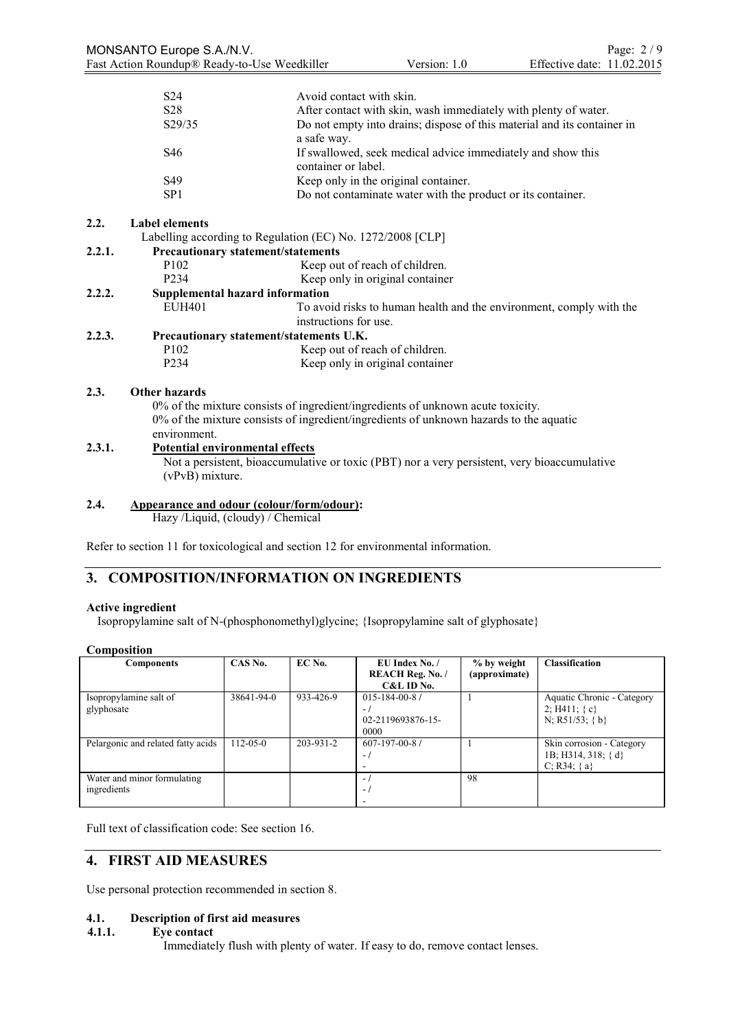| S <sub>24</sub> | Avoid contact with skin.                                                               |
|-----------------|----------------------------------------------------------------------------------------|
| S <sub>28</sub> | After contact with skin, wash immediately with plenty of water.                        |
| S29/35          | Do not empty into drains; dispose of this material and its container in<br>a safe way. |
| S <sub>46</sub> | If swallowed, seek medical advice immediately and show this<br>container or label.     |
| S <sub>49</sub> | Keep only in the original container.                                                   |
| SP <sub>1</sub> | Do not contaminate water with the product or its container.                            |

### **2.2. Label elements**

|        |                                           | Labelling according to Regulation (EC) No. 1272/2008 [CLP]                      |  |
|--------|-------------------------------------------|---------------------------------------------------------------------------------|--|
| 2.2.1. | <b>Precautionary statement/statements</b> |                                                                                 |  |
|        | P <sub>102</sub>                          | Keep out of reach of children.                                                  |  |
|        | P <sub>2</sub> 34                         | Keep only in original container                                                 |  |
| 2.2.2. | Supplemental hazard information           |                                                                                 |  |
|        | <b>EUH401</b>                             | To avoid risks to human health and the environment, comply with the             |  |
|        |                                           | instructions for use.                                                           |  |
| 2.2.3. | Precautionary statement/statements U.K.   |                                                                                 |  |
|        | P <sub>102</sub>                          | Keep out of reach of children.                                                  |  |
|        | P <sub>2</sub> 34                         | Keep only in original container                                                 |  |
| 2.3.   | Other hazards                             |                                                                                 |  |
|        |                                           | 0% of the mixture consists of ingredient/ingredients of unknown acute toxicity. |  |

0% of the mixture consists of ingredient/ingredients of unknown hazards to the aquatic environment.

#### **2.3.1. Potential environmental effects**

Not a persistent, bioaccumulative or toxic (PBT) nor a very persistent, very bioaccumulative (vPvB) mixture.

**2.4. Appearance and odour (colour/form/odour):**

Hazy /Liquid, (cloudy) / Chemical

Refer to section 11 for toxicological and section 12 for environmental information.

# **3. COMPOSITION/INFORMATION ON INGREDIENTS**

### **Active ingredient**

Isopropylamine salt of N-(phosphonomethyl)glycine; {Isopropylamine salt of glyphosate}

#### **Composition**

| <b>Components</b>                          | CAS No.        | EC No.    | EU Index No. /<br><b>REACH Reg. No. /</b><br>$C&L$ ID No.      | % by weight<br>(approximate) | <b>Classification</b>                                                |
|--------------------------------------------|----------------|-----------|----------------------------------------------------------------|------------------------------|----------------------------------------------------------------------|
| Isopropylamine salt of<br>glyphosate       | 38641-94-0     | 933-426-9 | $015 - 184 - 00 - 81$<br>$\sim$ 1<br>02-2119693876-15-<br>0000 |                              | Aquatic Chronic - Category<br>2; H411; $\{c\}$<br>N; R51/53; $\{b\}$ |
| Pelargonic and related fatty acids         | $112 - 05 - 0$ | 203-931-2 | $607 - 197 - 00 - 8$ /<br>$\sim$<br>-                          |                              | Skin corrosion - Category<br>1B; H314, 318; { d}<br>$C; R34; \{a\}$  |
| Water and minor formulating<br>ingredients |                |           | $\sim$ 1<br>$-1$                                               | 98                           |                                                                      |

Full text of classification code: See section 16.

# **4. FIRST AID MEASURES**

Use personal protection recommended in section 8.

# **4.1. Description of first aid measures**

#### **4.1.1. Eye contact**

Immediately flush with plenty of water. If easy to do, remove contact lenses.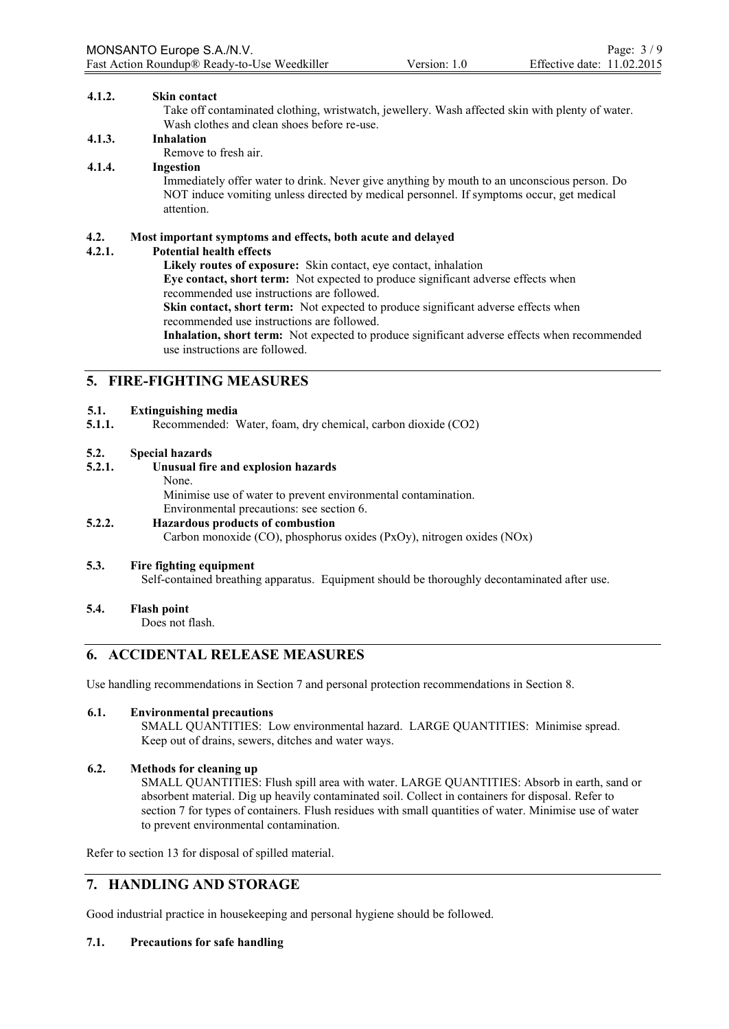#### **4.1.2. Skin contact**

Take off contaminated clothing, wristwatch, jewellery. Wash affected skin with plenty of water. Wash clothes and clean shoes before re-use.

#### **4.1.3. Inhalation**

Remove to fresh air.

#### **4.1.4. Ingestion**

Immediately offer water to drink. Never give anything by mouth to an unconscious person. Do NOT induce vomiting unless directed by medical personnel. If symptoms occur, get medical attention.

### **4.2. Most important symptoms and effects, both acute and delayed**

#### **4.2.1. Potential health effects**

**Likely routes of exposure:** Skin contact, eye contact, inhalation **Eye contact, short term:** Not expected to produce significant adverse effects when recommended use instructions are followed. **Skin contact, short term:** Not expected to produce significant adverse effects when

recommended use instructions are followed.

**Inhalation, short term:** Not expected to produce significant adverse effects when recommended use instructions are followed.

# **5. FIRE-FIGHTING MEASURES**

#### **5.1. Extinguishing media**

**5.1.1.** Recommended: Water, foam, dry chemical, carbon dioxide (CO2)

#### **5.2. Special hazards**

#### **5.2.1. Unusual fire and explosion hazards**

#### None.

Minimise use of water to prevent environmental contamination. Environmental precautions: see section 6.

# **5.2.2. Hazardous products of combustion**

Carbon monoxide (CO), phosphorus oxides (PxOy), nitrogen oxides (NOx)

#### **5.3. Fire fighting equipment**

Self-contained breathing apparatus. Equipment should be thoroughly decontaminated after use.

#### **5.4. Flash point**

Does not flash.

# **6. ACCIDENTAL RELEASE MEASURES**

Use handling recommendations in Section 7 and personal protection recommendations in Section 8.

#### **6.1. Environmental precautions**

SMALL QUANTITIES: Low environmental hazard. LARGE QUANTITIES: Minimise spread. Keep out of drains, sewers, ditches and water ways.

## **6.2. Methods for cleaning up**

SMALL QUANTITIES: Flush spill area with water. LARGE QUANTITIES: Absorb in earth, sand or absorbent material. Dig up heavily contaminated soil. Collect in containers for disposal. Refer to section 7 for types of containers. Flush residues with small quantities of water. Minimise use of water to prevent environmental contamination.

Refer to section 13 for disposal of spilled material.

# **7. HANDLING AND STORAGE**

Good industrial practice in housekeeping and personal hygiene should be followed.

#### **7.1. Precautions for safe handling**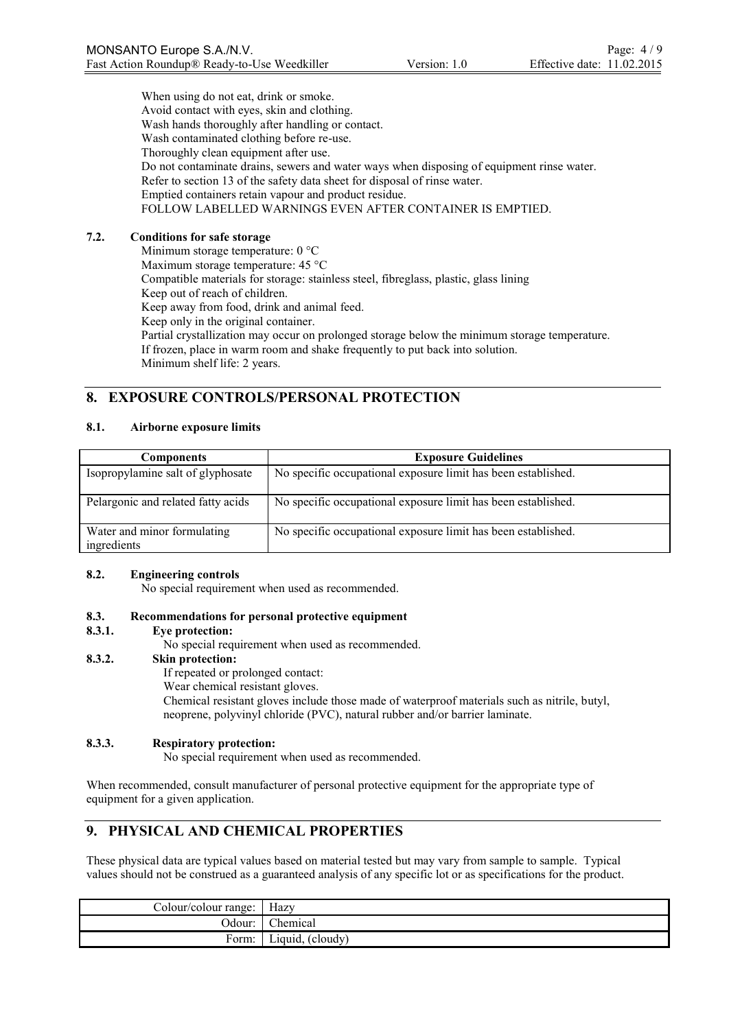When using do not eat, drink or smoke. Avoid contact with eyes, skin and clothing. Wash hands thoroughly after handling or contact. Wash contaminated clothing before re-use. Thoroughly clean equipment after use. Do not contaminate drains, sewers and water ways when disposing of equipment rinse water. Refer to section 13 of the safety data sheet for disposal of rinse water. Emptied containers retain vapour and product residue. FOLLOW LABELLED WARNINGS EVEN AFTER CONTAINER IS EMPTIED.

### **7.2. Conditions for safe storage**

Minimum storage temperature: 0 °C Maximum storage temperature: 45 °C Compatible materials for storage: stainless steel, fibreglass, plastic, glass lining Keep out of reach of children. Keep away from food, drink and animal feed. Keep only in the original container. Partial crystallization may occur on prolonged storage below the minimum storage temperature. If frozen, place in warm room and shake frequently to put back into solution. Minimum shelf life: 2 years.

# **8. EXPOSURE CONTROLS/PERSONAL PROTECTION**

### **8.1. Airborne exposure limits**

| <b>Components</b>                          | <b>Exposure Guidelines</b>                                    |
|--------------------------------------------|---------------------------------------------------------------|
| Isopropylamine salt of glyphosate          | No specific occupational exposure limit has been established. |
| Pelargonic and related fatty acids         | No specific occupational exposure limit has been established. |
| Water and minor formulating<br>ingredients | No specific occupational exposure limit has been established. |

#### **8.2. Engineering controls**

No special requirement when used as recommended.

#### **8.3. Recommendations for personal protective equipment**

#### **8.3.1. Eye protection:**

No special requirement when used as recommended.

#### **8.3.2. Skin protection:**

If repeated or prolonged contact:

Wear chemical resistant gloves.

Chemical resistant gloves include those made of waterproof materials such as nitrile, butyl, neoprene, polyvinyl chloride (PVC), natural rubber and/or barrier laminate.

#### **8.3.3. Respiratory protection:**

No special requirement when used as recommended.

When recommended, consult manufacturer of personal protective equipment for the appropriate type of equipment for a given application.

# **9. PHYSICAL AND CHEMICAL PROPERTIES**

These physical data are typical values based on material tested but may vary from sample to sample. Typical values should not be construed as a guaranteed analysis of any specific lot or as specifications for the product.

| Colour/colour range: | Hazy             |
|----------------------|------------------|
| :Jdour               | hemical          |
| -orm:                | Liquid, (cloudy) |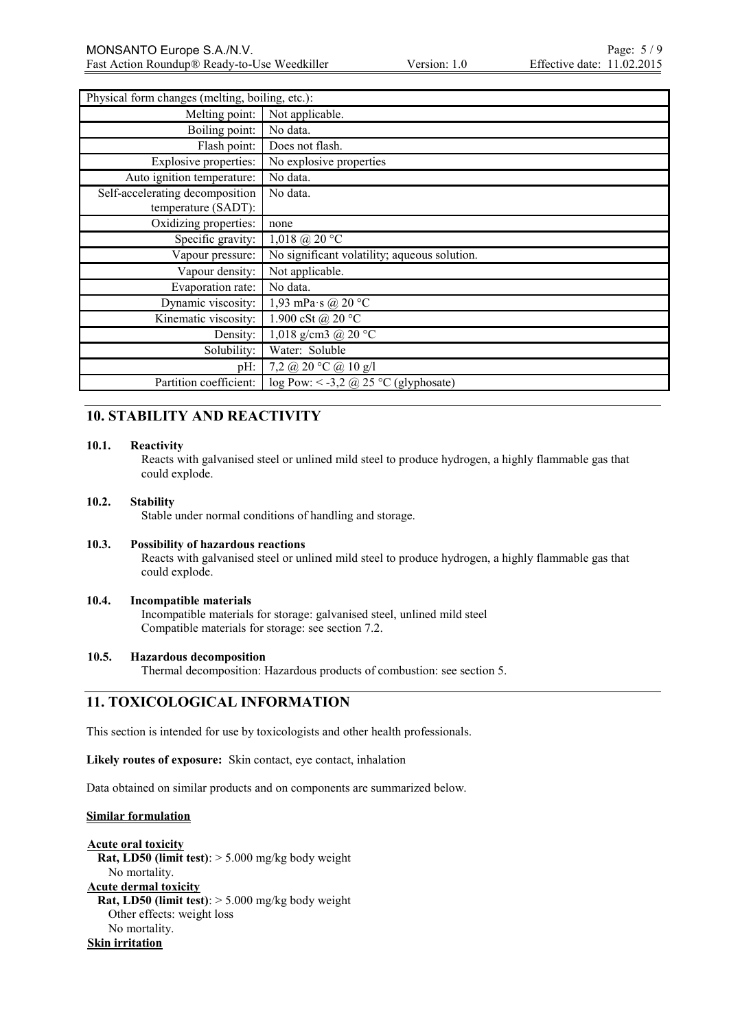| Physical form changes (melting, boiling, etc.): |                                                                 |  |
|-------------------------------------------------|-----------------------------------------------------------------|--|
| Melting point:                                  | Not applicable.                                                 |  |
| Boiling point:                                  | No data.                                                        |  |
| Flash point:                                    | Does not flash.                                                 |  |
| Explosive properties:                           | No explosive properties                                         |  |
| Auto ignition temperature:                      | No data.                                                        |  |
| Self-accelerating decomposition                 | No data.                                                        |  |
| temperature (SADT):                             |                                                                 |  |
| Oxidizing properties:                           | none                                                            |  |
| Specific gravity:                               | $1,018$ @ 20 °C                                                 |  |
| Vapour pressure:                                | No significant volatility; aqueous solution.                    |  |
| Vapour density:                                 | Not applicable.                                                 |  |
| Evaporation rate:                               | No data.                                                        |  |
| Dynamic viscosity:                              | 1,93 mPa s @ 20 $^{\circ}$ C                                    |  |
| Kinematic viscosity:                            | 1.900 cSt @ 20 °C                                               |  |
| Density:                                        | 1,018 g/cm3 @ 20 °C                                             |  |
| Solubility:                                     | Water: Soluble                                                  |  |
| $pH$ :                                          | 7,2 @ 20 $\degree$ C @ 10 g/l                                   |  |
| Partition coefficient:                          | $log Pow: < -3,2 \text{ (}2,25 \text{ °C} \text{ (glyphosate)}$ |  |

# **10. STABILITY AND REACTIVITY**

#### **10.1. Reactivity**

Reacts with galvanised steel or unlined mild steel to produce hydrogen, a highly flammable gas that could explode.

#### **10.2. Stability**

Stable under normal conditions of handling and storage.

#### **10.3. Possibility of hazardous reactions**

Reacts with galvanised steel or unlined mild steel to produce hydrogen, a highly flammable gas that could explode.

#### **10.4. Incompatible materials** Incompatible materials for storage: galvanised steel, unlined mild steel

Compatible materials for storage: see section 7.2.

#### **10.5. Hazardous decomposition**

Thermal decomposition: Hazardous products of combustion: see section 5.

# **11. TOXICOLOGICAL INFORMATION**

This section is intended for use by toxicologists and other health professionals.

**Likely routes of exposure:** Skin contact, eye contact, inhalation

Data obtained on similar products and on components are summarized below.

#### **Similar formulation**

**Acute oral toxicity Rat, LD50 (limit test)**: > 5.000 mg/kg body weight No mortality. **Acute dermal toxicity Rat, LD50 (limit test)**: > 5.000 mg/kg body weight Other effects: weight loss No mortality. **Skin irritation**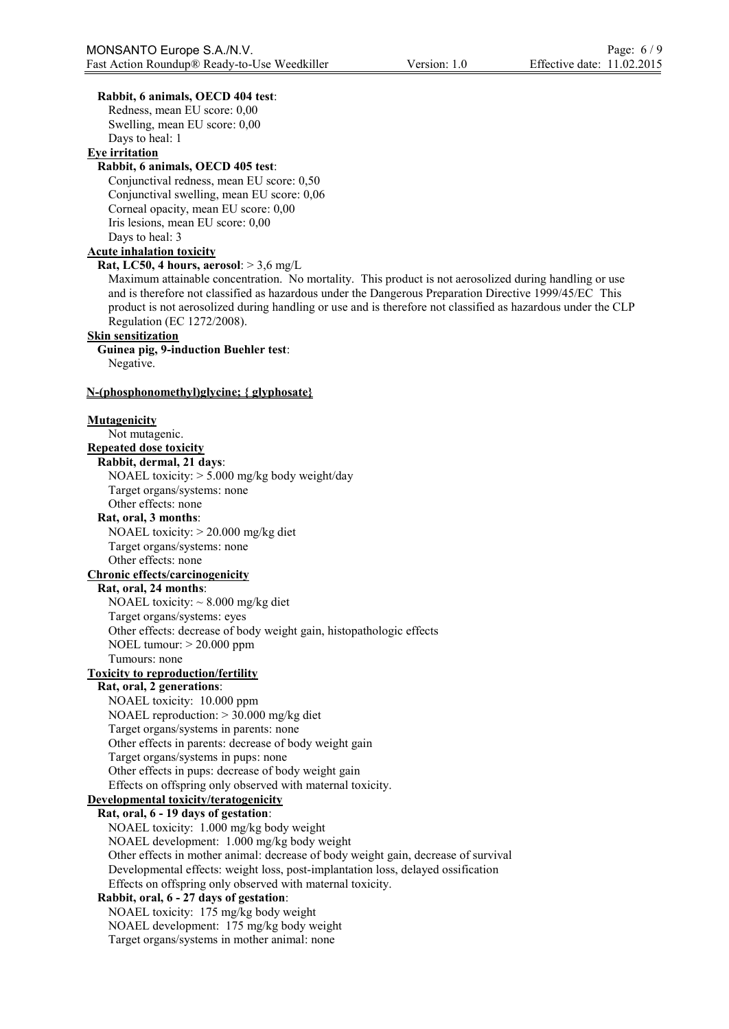#### **Rabbit, 6 animals, OECD 404 test**:

Redness, mean EU score: 0,00 Swelling, mean EU score: 0,00 Days to heal: 1

# **Eye irritation**

## **Rabbit, 6 animals, OECD 405 test**:

Conjunctival redness, mean EU score: 0,50 Conjunctival swelling, mean EU score: 0,06 Corneal opacity, mean EU score: 0,00 Iris lesions, mean EU score: 0,00 Days to heal: 3

#### **Acute inhalation toxicity**

#### **Rat, LC50, 4 hours, aerosol**: > 3,6 mg/L

Maximum attainable concentration. No mortality. This product is not aerosolized during handling or use and is therefore not classified as hazardous under the Dangerous Preparation Directive 1999/45/EC This product is not aerosolized during handling or use and is therefore not classified as hazardous under the CLP Regulation (EC 1272/2008).

#### **Skin sensitization**

**Guinea pig, 9-induction Buehler test**: Negative.

#### **N-(phosphonomethyl)glycine; { glyphosate}**

**Mutagenicity** Not mutagenic. **Repeated dose toxicity Rabbit, dermal, 21 days**: NOAEL toxicity: > 5.000 mg/kg body weight/day Target organs/systems: none Other effects: none

#### **Rat, oral, 3 months**:

NOAEL toxicity: > 20.000 mg/kg diet

Target organs/systems: none

# Other effects: none

# **Chronic effects/carcinogenicity**

**Rat, oral, 24 months**: NOAEL toxicity:  $\sim 8.000$  mg/kg diet Target organs/systems: eyes Other effects: decrease of body weight gain, histopathologic effects NOEL tumour: > 20.000 ppm Tumours: none

#### **Toxicity to reproduction/fertility**

# **Rat, oral, 2 generations**:

NOAEL toxicity: 10.000 ppm NOAEL reproduction: > 30.000 mg/kg diet Target organs/systems in parents: none Other effects in parents: decrease of body weight gain Target organs/systems in pups: none Other effects in pups: decrease of body weight gain Effects on offspring only observed with maternal toxicity.

# **Developmental toxicity/teratogenicity**

#### **Rat, oral, 6 - 19 days of gestation**:

NOAEL toxicity: 1.000 mg/kg body weight NOAEL development: 1.000 mg/kg body weight Other effects in mother animal: decrease of body weight gain, decrease of survival Developmental effects: weight loss, post-implantation loss, delayed ossification Effects on offspring only observed with maternal toxicity.

#### **Rabbit, oral, 6 - 27 days of gestation**:

NOAEL toxicity: 175 mg/kg body weight NOAEL development: 175 mg/kg body weight Target organs/systems in mother animal: none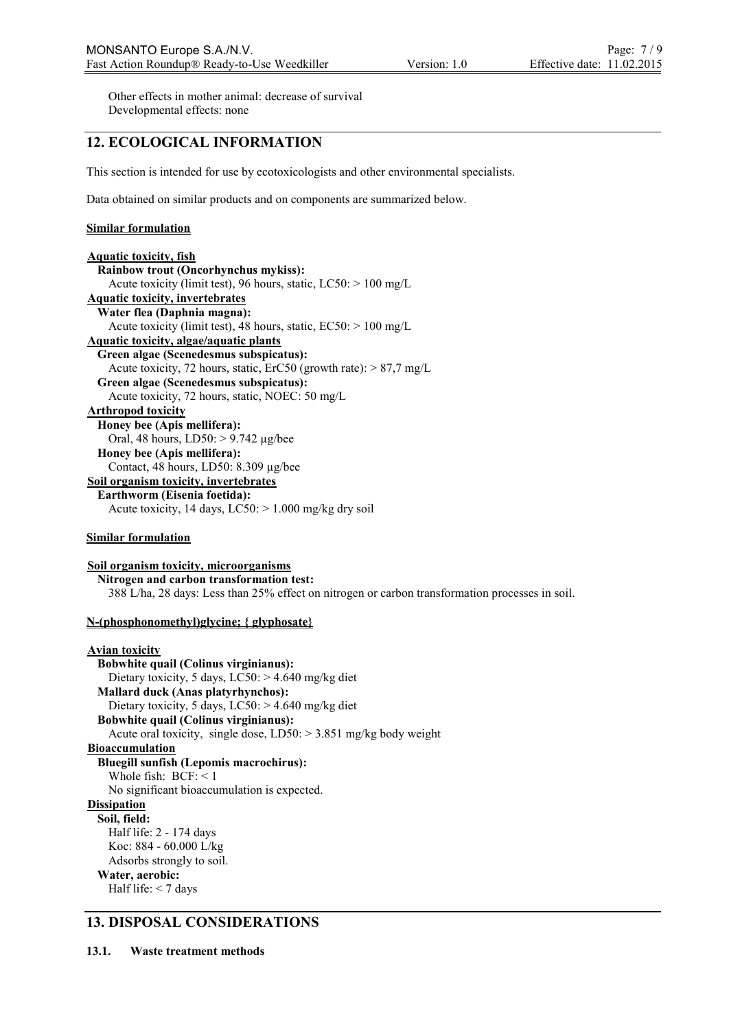Other effects in mother animal: decrease of survival Developmental effects: none

# **12. ECOLOGICAL INFORMATION**

This section is intended for use by ecotoxicologists and other environmental specialists.

Data obtained on similar products and on components are summarized below.

#### **Similar formulation**

| <b>Aquatic toxicity, fish</b>                                        |
|----------------------------------------------------------------------|
| <b>Rainbow trout (Oncorhynchus mykiss):</b>                          |
| Acute toxicity (limit test), 96 hours, static, $LC50$ : $> 100$ mg/L |
| <b>Aquatic toxicity, invertebrates</b>                               |
| Water flea (Daphnia magna):                                          |
| Acute toxicity (limit test), 48 hours, static, $EC50$ : > 100 mg/L   |
| Aquatic toxicity, algae/aquatic plants                               |
| Green algae (Scenedesmus subspicatus):                               |
| Acute toxicity, 72 hours, static, ErC50 (growth rate): $> 87.7$ mg/L |
| Green algae (Scenedesmus subspicatus):                               |
| Acute toxicity, 72 hours, static, NOEC: 50 mg/L                      |
| Arthropod toxicity                                                   |
| Honey bee (Apis mellifera):                                          |
| Oral, 48 hours, $LD50:$ > 9.742 $\mu$ g/bee                          |
| Honey bee (Apis mellifera):                                          |
| Contact, 48 hours, LD50: 8.309 µg/bee                                |
| Soil organism toxicity, invertebrates                                |
| Earthworm (Eisenia foetida):                                         |
| Acute toxicity, 14 days, $LC50$ : $> 1.000$ mg/kg dry soil           |

#### **Similar formulation**

#### **Soil organism toxicity, microorganisms Nitrogen and carbon transformation test:** 388 L/ha, 28 days: Less than 25% effect on nitrogen or carbon transformation processes in soil.

#### **N-(phosphonomethyl)glycine; { glyphosate}**

```
Avian toxicity
  Bobwhite quail (Colinus virginianus):
   Dietary toxicity, 5 days, LC50: > 4.640 mg/kg diet
  Mallard duck (Anas platyrhynchos):
    Dietary toxicity, 5 days, LC50: > 4.640 mg/kg diet
  Bobwhite quail (Colinus virginianus):
    Acute oral toxicity, single dose, LD50: > 3.851 mg/kg body weight
Bioaccumulation
  Bluegill sunfish (Lepomis macrochirus):
    Whole fish: BCF: < 1
    No significant bioaccumulation is expected. 
Dissipation
  Soil, field:
   Half life: 2 - 174 days
   Koc: 884 - 60.000 L/kg
    Adsorbs strongly to soil. 
  Water, aerobic:
   Half life: < 7 days
```
# **13. DISPOSAL CONSIDERATIONS**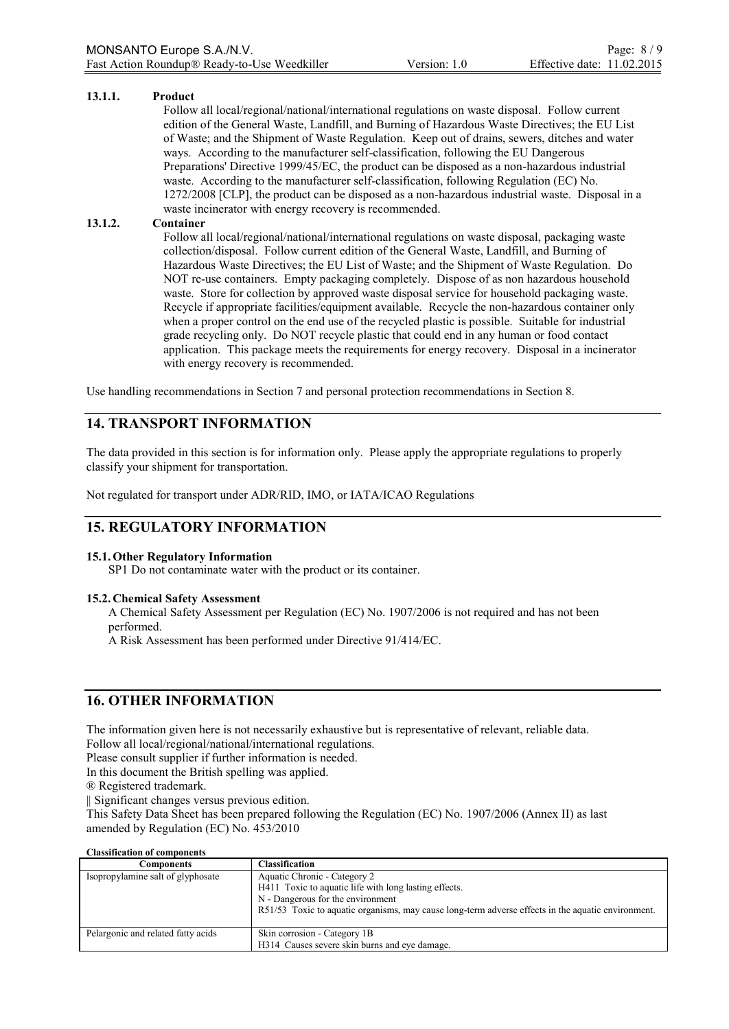#### **13.1.1. Product**

Follow all local/regional/national/international regulations on waste disposal. Follow current edition of the General Waste, Landfill, and Burning of Hazardous Waste Directives; the EU List of Waste; and the Shipment of Waste Regulation. Keep out of drains, sewers, ditches and water ways. According to the manufacturer self-classification, following the EU Dangerous Preparations' Directive 1999/45/EC, the product can be disposed as a non-hazardous industrial waste. According to the manufacturer self-classification, following Regulation (EC) No. 1272/2008 [CLP], the product can be disposed as a non-hazardous industrial waste. Disposal in a waste incinerator with energy recovery is recommended.

#### **13.1.2. Container**

Follow all local/regional/national/international regulations on waste disposal, packaging waste collection/disposal. Follow current edition of the General Waste, Landfill, and Burning of Hazardous Waste Directives; the EU List of Waste; and the Shipment of Waste Regulation. Do NOT re-use containers. Empty packaging completely. Dispose of as non hazardous household waste. Store for collection by approved waste disposal service for household packaging waste. Recycle if appropriate facilities/equipment available. Recycle the non-hazardous container only when a proper control on the end use of the recycled plastic is possible. Suitable for industrial grade recycling only. Do NOT recycle plastic that could end in any human or food contact application. This package meets the requirements for energy recovery. Disposal in a incinerator with energy recovery is recommended.

Use handling recommendations in Section 7 and personal protection recommendations in Section 8.

# **14. TRANSPORT INFORMATION**

The data provided in this section is for information only. Please apply the appropriate regulations to properly classify your shipment for transportation.

Not regulated for transport under ADR/RID, IMO, or IATA/ICAO Regulations

# **15. REGULATORY INFORMATION**

#### **15.1.Other Regulatory Information**

SP1 Do not contaminate water with the product or its container.

#### **15.2. Chemical Safety Assessment**

A Chemical Safety Assessment per Regulation (EC) No. 1907/2006 is not required and has not been performed.

A Risk Assessment has been performed under Directive 91/414/EC.

# **16. OTHER INFORMATION**

The information given here is not necessarily exhaustive but is representative of relevant, reliable data. Follow all local/regional/national/international regulations.

Please consult supplier if further information is needed.

In this document the British spelling was applied.

® Registered trademark.

|| Significant changes versus previous edition.

This Safety Data Sheet has been prepared following the Regulation (EC) No. 1907/2006 (Annex II) as last amended by Regulation (EC) No. 453/2010

#### **Classification of components**

| Components                         | <b>Classification</b>                                                                                                      |  |
|------------------------------------|----------------------------------------------------------------------------------------------------------------------------|--|
| Isopropylamine salt of glyphosate  | Aquatic Chronic - Category 2<br>H411 Toxic to aquatic life with long lasting effects.<br>N - Dangerous for the environment |  |
|                                    | R51/53 Toxic to aquatic organisms, may cause long-term adverse effects in the aquatic environment.                         |  |
| Pelargonic and related fatty acids | Skin corrosion - Category 1B                                                                                               |  |
|                                    | H314 Causes severe skin burns and eve damage.                                                                              |  |